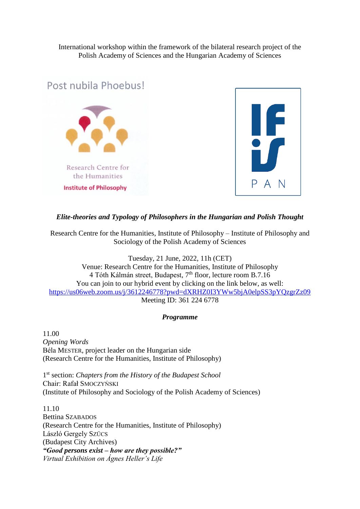International workshop within the framework of the bilateral research project of the Polish Academy of Sciences and the Hungarian Academy of Sciences



# *Elite-theories and Typology of Philosophers in the Hungarian and Polish Thought*

Research Centre for the Humanities, Institute of Philosophy – Institute of Philosophy and Sociology of the Polish Academy of Sciences

Tuesday, 21 June, 2022, 11h (CET) Venue: Research Centre for the Humanities, Institute of Philosophy 4 Tóth Kálmán street, Budapest, 7<sup>th</sup> floor, lecture room B.7.16 You can join to our hybrid event by clicking on the link below, as well: [https://us06web.zoom.us/j/3612246778?pwd=dXRHZ0I3YWw5bjA0elpSS3pYQzgrZz09](https://www.google.com/url?q=https%3A%2F%2Fus06web.zoom.us%2Fj%2F3612246778%3Fpwd%3DdXRHZ0I3YWw5bjA0elpSS3pYQzgrZz09&sa=D&sntz=1&usg=AOvVaw21cLMcCdLORcW5j2MbZS-m)

Meeting ID: 361 224 6778

# *Programme*

11.00 *Opening Words* Béla MESTER, project leader on the Hungarian side (Research Centre for the Humanities, Institute of Philosophy)

1 st section: *Chapters from the History of the Budapest School* Chair: Rafał SMOCZYŃSKI (Institute of Philosophy and Sociology of the Polish Academy of Sciences)

11.10 Bettina SZABADOS (Research Centre for the Humanities, Institute of Philosophy) László Gergely SZÜCS (Budapest City Archives) *"Good persons exist – how are they possible?" Virtual Exhibition on Ágnes Heller's Life*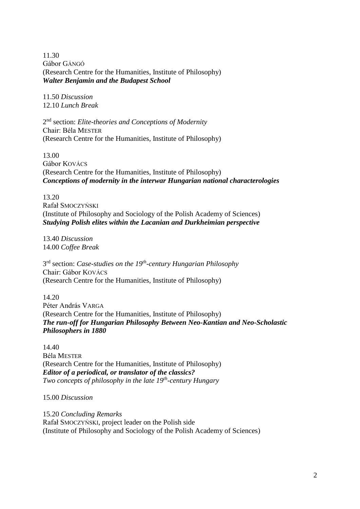11.30 Gábor GÁNGÓ (Research Centre for the Humanities, Institute of Philosophy) *Walter Benjamin and the Budapest School*

11.50 *Discussion* 12.10 *Lunch Break*

2 nd section: *Elite-theories and Conceptions of Modernity* Chair: Béla MESTER (Research Centre for the Humanities, Institute of Philosophy)

13.00 Gábor KOVÁCS (Research Centre for the Humanities, Institute of Philosophy) *Conceptions of modernity in the interwar Hungarian national characterologies*

13.20 Rafał SMOCZYŃSKI (Institute of Philosophy and Sociology of the Polish Academy of Sciences) *Studying Polish elites within the Lacanian and Durkheimian perspective*

13.40 *Discussion* 14.00 *Coffee Break*

3 rd section: *Case-studies on the 19th -century Hungarian Philosophy* Chair: Gábor KOVÁCS (Research Centre for the Humanities, Institute of Philosophy)

14.20 Péter András VARGA (Research Centre for the Humanities, Institute of Philosophy) *The run-off for Hungarian Philosophy Between Neo-Kantian and Neo-Scholastic Philosophers in 1880*

14.40 Béla MESTER (Research Centre for the Humanities, Institute of Philosophy) *Editor of a periodical, or translator of the classics? Two concepts of philosophy in the late 19th -century Hungary*

15.00 *Discussion*

15.20 *Concluding Remarks* Rafał SMOCZYŃSKI, project leader on the Polish side (Institute of Philosophy and Sociology of the Polish Academy of Sciences)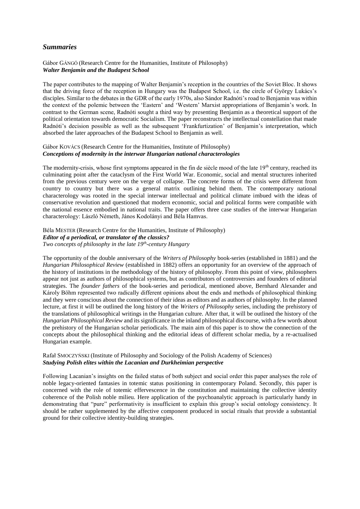## *Summaries*

#### Gábor GÁNGÓ (Research Centre for the Humanities, Institute of Philosophy) *Walter Benjamin and the Budapest School*

The paper contributes to the mapping of Walter Benjamin's reception in the countries of the Soviet Bloc. It shows that the driving force of the reception in Hungary was the Budapest School, i.e. the circle of György Lukács's disciples. Similar to the debates in the GDR of the early 1970s, also Sándor Radnóti's road to Benjamin was within the context of the polemic between the 'Eastern' and 'Western' Marxist appropriations of Benjamin's work. In contrast to the German scene, Radnóti sought a third way by presenting Benjamin as a theoretical support of the political orientation towards democratic Socialism. The paper reconstructs the intellectual constellation that made Radnóti's decision possible as well as the subsequent 'Frankfurtization' of Benjamin's interpretation, which absorbed the later approaches of the Budapest School to Benjamin as well.

#### Gábor KOVÁCS (Research Centre for the Humanities, Institute of Philosophy) *Conceptions of modernity in the interwar Hungarian national characterologies*

The modernity-crisis, whose first symptoms appeared in the fin de siècle mood of the late  $19<sup>th</sup>$  century, reached its culminating point after the cataclysm of the First World War. Economic, social and mental structures inherited from the previous century were on the verge of collapse. The concrete forms of the crisis were different from country to country but there was a general matrix outlining behind them. The contemporary national characterology was rooted in the special interwar intellectual and political climate imbued with the ideas of conservative revolution and questioned that modern economic, social and political forms were compatible with the national essence embodied in national traits. The paper offers three case studies of the interwar Hungarian characterology: László Németh, János Kodolányi and Béla Hamvas.

#### Béla MESTER (Research Centre for the Humanities, Institute of Philosophy) *Editor of a periodical, or translator of the classics? Two concepts of philosophy in the late 19th -century Hungary*

The opportunity of the double anniversary of the *Writers of Philosophy* book-series (established in 1881) and the *Hungarian Philosophical Review* (established in 1882) offers an opportunity for an overview of the approach of the history of institutions in the methodology of the history of philosophy. From this point of view, philosophers appear not just as authors of philosophical systems, but as contributors of controversies and founders of editorial strategies. The *founder fathers* of the book-series and periodical, mentioned above, Bernhard Alexander and Károly Böhm represented two radically different opinions about the ends and methods of philosophical thinking and they were conscious about the connection of their ideas as editors and as authors of philosophy. In the planned lecture, at first it will be outlined the long history of the *Writers of Philosophy* series, including the prehistory of the translations of philosophical writings in the Hungarian culture. After that, it will be outlined the history of the *Hungarian Philosophical Review* and its significance in the inland philosophical discourse, with a few words about the prehistory of the Hungarian scholar periodicals. The main aim of this paper is to show the connection of the concepts about the philosophical thinking and the editorial ideas of different scholar media, by a re-actualised Hungarian example.

#### Rafał SMOCZYŃSKI (Institute of Philosophy and Sociology of the Polish Academy of Sciences) *Studying Polish elites within the Lacanian and Durkheimian perspective*

Following Lacanian's insights on the failed status of both subject and social order this paper analyses the role of noble legacy-oriented fantasies in totemic status positioning in contemporary Poland. Secondly, this paper is concerned with the role of totemic effervescence in the constitution and maintaining the collective identity coherence of the Polish noble milieu. Here application of the psychoanalytic approach is particularly handy in demonstrating that "pure" performativity is insufficient to explain this group's social ontology consistency. It should be rather supplemented by the affective component produced in social rituals that provide a substantial ground for their collective identity-building strategies.